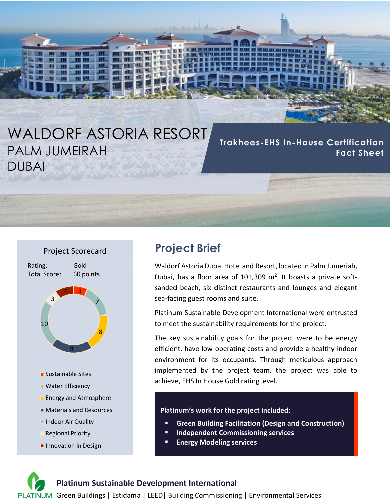# WALDORF ASTORIA RESORT PALM JUMEIRAH DUBAI

**Trakhees-EHS In-House Certification Fact Sheet**



**Innovation in Design** 

# **Project Brief**

Waldorf Astoria Dubai Hotel and Resort, located in Palm Jumeriah, Dubai, has a floor area of 101,309  $m^2$ . It boasts a private softsanded beach, six distinct restaurants and lounges and elegant sea‐facing guest rooms and suite.

Platinum Sustainable Development International were entrusted to meet the sustainability requirements for the project.

The key sustainability goals for the project were to be energy efficient, have low operating costs and provide a healthy indoor environment for its occupants. Through meticulous approach implemented by the project team, the project was able to achieve, EHS In House Gold rating level.

#### **Platinum's work for the project included:**

- **Green Building Facilitation (Design and Construction)**
- **Independent Commissioning services**
- **Energy Modeling services**

#### **Platinum Sustainable Development International**

PLATINUM Green Buildings | Estidama | LEED | Building Commissioning | Environmental Services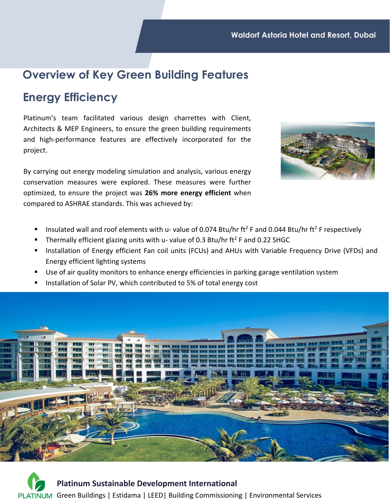# **Overview of Key Green Building Features**

# **Energy Efficiency**

Platinum's team facilitated various design charrettes with Client, Architects & MEP Engineers, to ensure the green building requirements and high‐performance features are effectively incorporated for the project.

By carrying out energy modeling simulation and analysis, various energy conservation measures were explored. These measures were further optimized, to ensure the project was **26% more energy efficient** when compared to ASHRAE standards. This was achieved by:



- Insulated wall and roof elements with u- value of 0.074 Btu/hr ft<sup>2</sup> F and 0.044 Btu/hr ft<sup>2</sup> F respectively
- Thermally efficient glazing units with u- value of 0.3 Btu/hr  $ft<sup>2</sup>$  F and 0.22 SHGC
- Installation of Energy efficient Fan coil units (FCUs) and AHUs with Variable Frequency Drive (VFDs) and Energy efficient lighting systems
- Use of air quality monitors to enhance energy efficiencies in parking garage ventilation system
- Installation of Solar PV, which contributed to 5% of total energy cost



**Platinum Sustainable Development International** PLATINUM Green Buildings | Estidama | LEED| Building Commissioning | Environmental Services